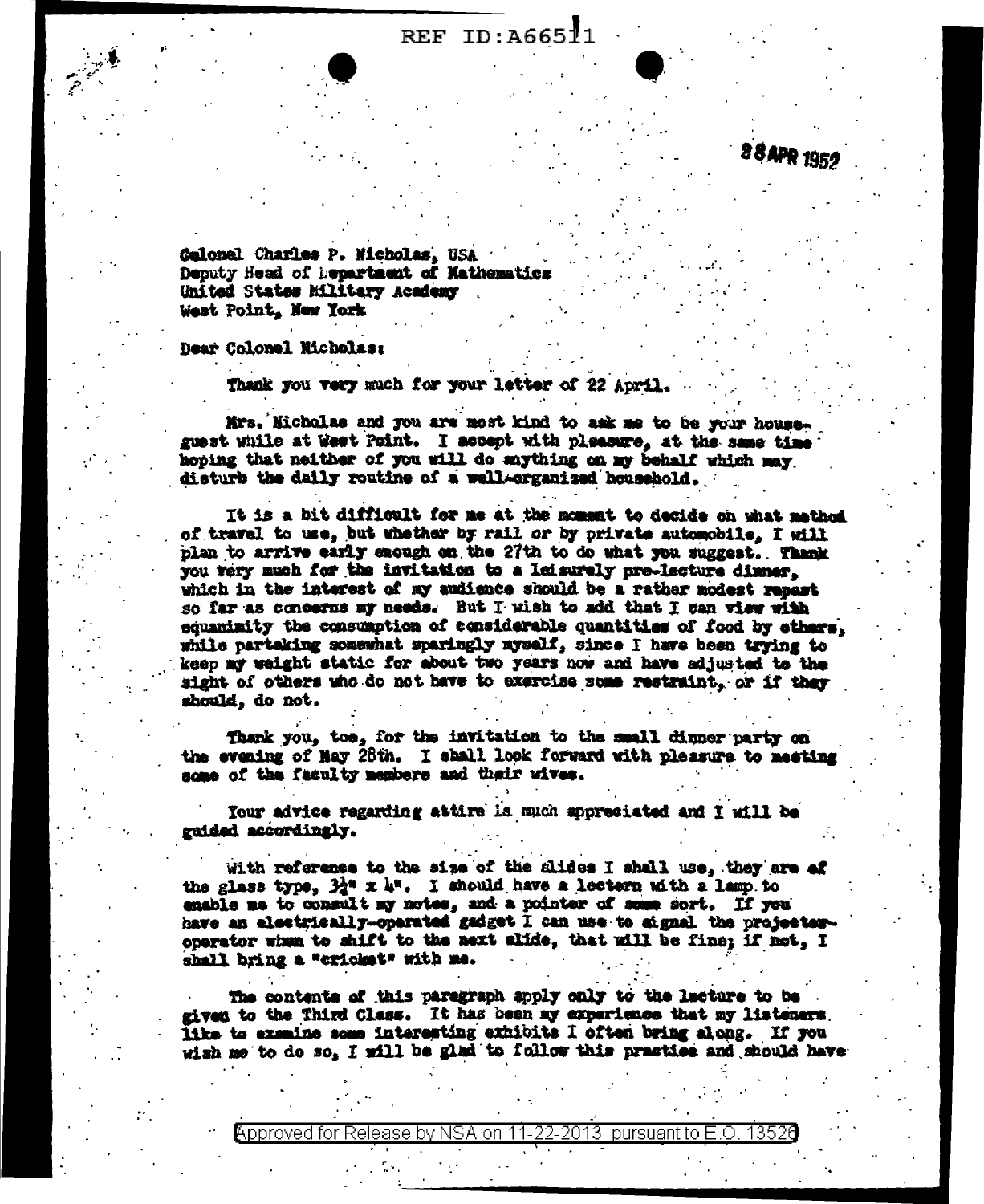## REF ID: A66511

28 APR 1952

Calonel Charles P. Micholas, USA Deputy Head of hepartment of Mathematics United States Military Academy West Point, New York

Dear Colonel Nicholas:

Thank you very much for your letter of 22 April.

Mrs. Nicholas and you are most kind to ask me to be your house. guest while at West Point. I accept with pleasure, at the same time hoping that neither of you will do anything on my behalf which may disturb the daily routine of a well-organized household.

It is a bit difficult for me at the moment to decide on what method of travel to use, but whether by rail or by private automobile. I will plan to arrive early snough on the 27th to do what you suggest. Thank you very much for the invitation to a leisurely pre-lecture dimmer. which in the interest of my audience should be a rather modest repart so far as concerns my needs. But I wish to add that I can view with equanizity the consumption of considerable quantities of food by others. while partaking somewhat sparingly myself, since I have been trying to keep my weight static for about two years now and have adjusted to the sight of others who do not have to exercise some restraint, or if they should, do not.

Thank you, too, for the invitation to the small dinner party on the evening of May 28th. I shall look forward with pleasure to meeting some of the faculty members and their wives.

Your advice regarding attire is much appreciated and I will be guided accordingly.

With reference to the size of the slides I shall use. they are of the glass type,  $32^a$  x 4". I should have a lectern with a lamp to emable me to consult ay notes, and a pointer of some sort. If you have an electrically-operated gadget I can use to signal the projectoroperator when to shift to the next alide, that will be fine; if not, I shall bring a "cricket" with me.

The contents of this paragraph apply only to the lacture to be given to the Third Class. It has been my experience that my listeners. like to examine some interesting exhibits I often bring along. If you wish me to do so, I will be glad to follow this practice and should have

Approved for Release by NSA on 11-22-2013 pursuant to E.O. 13526